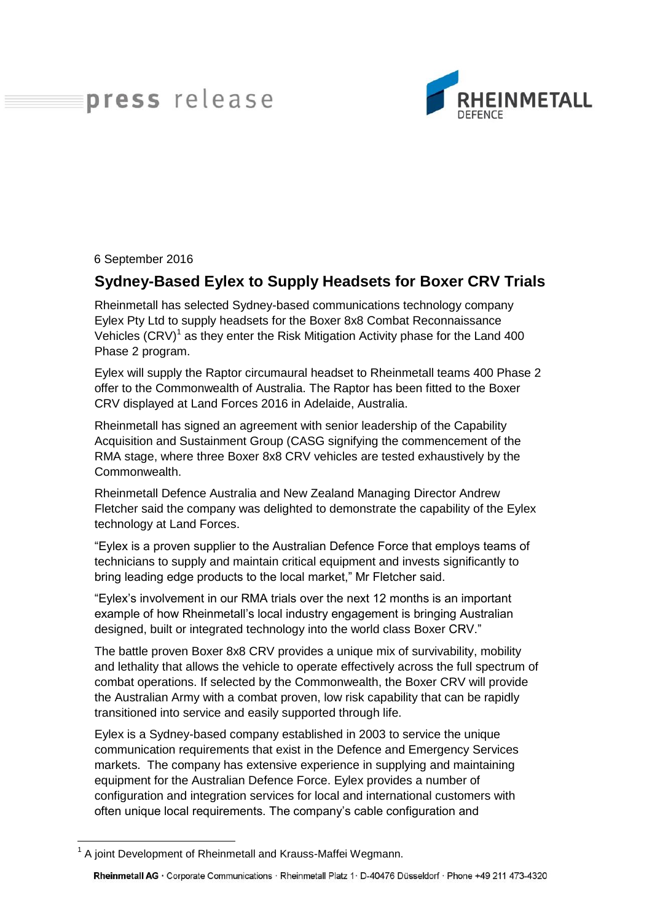## press release



6 September 2016

## **Sydney-Based Eylex to Supply Headsets for Boxer CRV Trials**

Rheinmetall has selected Sydney-based communications technology company Eylex Pty Ltd to supply headsets for the Boxer 8x8 Combat Reconnaissance Vehicles  $(CRV)^1$  as they enter the Risk Mitigation Activity phase for the Land 400 Phase 2 program.

Eylex will supply the Raptor circumaural headset to Rheinmetall teams 400 Phase 2 offer to the Commonwealth of Australia. The Raptor has been fitted to the Boxer CRV displayed at Land Forces 2016 in Adelaide, Australia.

Rheinmetall has signed an agreement with senior leadership of the Capability Acquisition and Sustainment Group (CASG signifying the commencement of the RMA stage, where three Boxer 8x8 CRV vehicles are tested exhaustively by the Commonwealth.

Rheinmetall Defence Australia and New Zealand Managing Director Andrew Fletcher said the company was delighted to demonstrate the capability of the Eylex technology at Land Forces.

"Eylex is a proven supplier to the Australian Defence Force that employs teams of technicians to supply and maintain critical equipment and invests significantly to bring leading edge products to the local market," Mr Fletcher said.

"Eylex's involvement in our RMA trials over the next 12 months is an important example of how Rheinmetall's local industry engagement is bringing Australian designed, built or integrated technology into the world class Boxer CRV."

The battle proven Boxer 8x8 CRV provides a unique mix of survivability, mobility and lethality that allows the vehicle to operate effectively across the full spectrum of combat operations. If selected by the Commonwealth, the Boxer CRV will provide the Australian Army with a combat proven, low risk capability that can be rapidly transitioned into service and easily supported through life.

Eylex is a Sydney-based company established in 2003 to service the unique communication requirements that exist in the Defence and Emergency Services markets. The company has extensive experience in supplying and maintaining equipment for the Australian Defence Force. Eylex provides a number of configuration and integration services for local and international customers with often unique local requirements. The company's cable configuration and

 $\overline{a}$ 

<sup>&</sup>lt;sup>1</sup> A joint Development of Rheinmetall and Krauss-Maffei Wegmann.